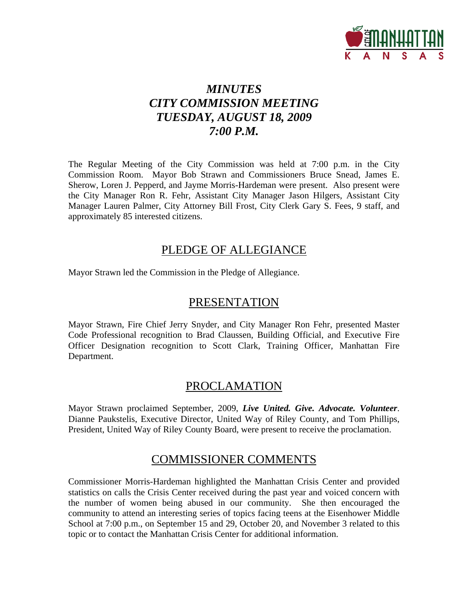

# *MINUTES CITY COMMISSION MEETING TUESDAY, AUGUST 18, 2009 7:00 P.M.*

The Regular Meeting of the City Commission was held at 7:00 p.m. in the City Commission Room. Mayor Bob Strawn and Commissioners Bruce Snead, James E. Sherow, Loren J. Pepperd, and Jayme Morris-Hardeman were present. Also present were the City Manager Ron R. Fehr, Assistant City Manager Jason Hilgers, Assistant City Manager Lauren Palmer, City Attorney Bill Frost, City Clerk Gary S. Fees, 9 staff, and approximately 85 interested citizens.

## PLEDGE OF ALLEGIANCE

Mayor Strawn led the Commission in the Pledge of Allegiance.

## PRESENTATION

Mayor Strawn, Fire Chief Jerry Snyder, and City Manager Ron Fehr, presented Master Code Professional recognition to Brad Claussen, Building Official, and Executive Fire Officer Designation recognition to Scott Clark, Training Officer, Manhattan Fire Department.

## PROCLAMATION

Mayor Strawn proclaimed September, 2009, *Live United. Give. Advocate. Volunteer*. Dianne Paukstelis, Executive Director, United Way of Riley County, and Tom Phillips, President, United Way of Riley County Board, were present to receive the proclamation.

## COMMISSIONER COMMENTS

Commissioner Morris-Hardeman highlighted the Manhattan Crisis Center and provided statistics on calls the Crisis Center received during the past year and voiced concern with the number of women being abused in our community. She then encouraged the community to attend an interesting series of topics facing teens at the Eisenhower Middle School at 7:00 p.m., on September 15 and 29, October 20, and November 3 related to this topic or to contact the Manhattan Crisis Center for additional information.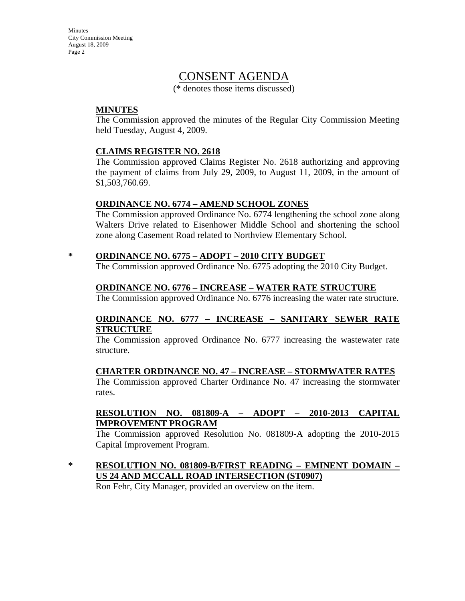Minutes City Commission Meeting August 18, 2009 Page 2

## CONSENT AGENDA

(\* denotes those items discussed)

#### **MINUTES**

The Commission approved the minutes of the Regular City Commission Meeting held Tuesday, August 4, 2009.

#### **CLAIMS REGISTER NO. 2618**

The Commission approved Claims Register No. 2618 authorizing and approving the payment of claims from July 29, 2009, to August 11, 2009, in the amount of \$1,503,760.69.

#### **ORDINANCE NO. 6774 – AMEND SCHOOL ZONES**

The Commission approved Ordinance No. 6774 lengthening the school zone along Walters Drive related to Eisenhower Middle School and shortening the school zone along Casement Road related to Northview Elementary School.

#### **\* ORDINANCE NO. 6775 – ADOPT – 2010 CITY BUDGET**

The Commission approved Ordinance No. 6775 adopting the 2010 City Budget.

#### **ORDINANCE NO. 6776 – INCREASE – WATER RATE STRUCTURE**

The Commission approved Ordinance No. 6776 increasing the water rate structure.

#### **ORDINANCE NO. 6777 – INCREASE – SANITARY SEWER RATE STRUCTURE**

The Commission approved Ordinance No. 6777 increasing the wastewater rate structure.

### **CHARTER ORDINANCE NO. 47 – INCREASE – STORMWATER RATES**

The Commission approved Charter Ordinance No. 47 increasing the stormwater rates.

#### **RESOLUTION NO. 081809-A – ADOPT – 2010-2013 CAPITAL IMPROVEMENT PROGRAM**

The Commission approved Resolution No. 081809-A adopting the 2010-2015 Capital Improvement Program.

### **\* RESOLUTION NO. 081809-B/FIRST READING – EMINENT DOMAIN – US 24 AND MCCALL ROAD INTERSECTION (ST0907)**

Ron Fehr, City Manager, provided an overview on the item.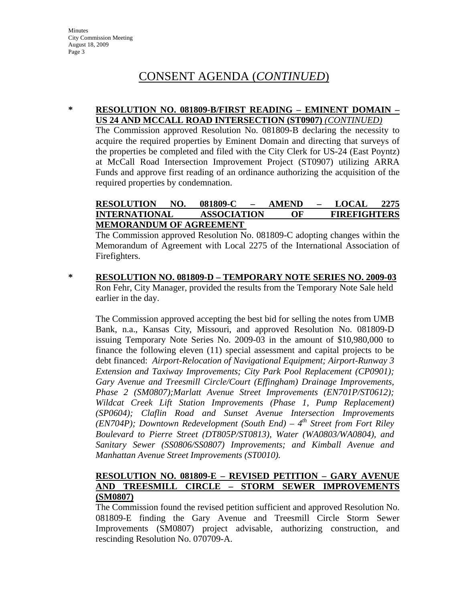# CONSENT AGENDA (*CONTINUED*)

#### **\* RESOLUTION NO. 081809-B/FIRST READING – EMINENT DOMAIN – US 24 AND MCCALL ROAD INTERSECTION (ST0907)** *(CONTINUED)*

The Commission approved Resolution No. 081809-B declaring the necessity to acquire the required properties by Eminent Domain and directing that surveys of the properties be completed and filed with the City Clerk for US-24 (East Poyntz) at McCall Road Intersection Improvement Project (ST0907) utilizing ARRA Funds and approve first reading of an ordinance authorizing the acquisition of the required properties by condemnation.

#### **RESOLUTION NO. 081809-C – AMEND – LOCAL 2275 INTERNATIONAL ASSOCIATION OF FIREFIGHTERS MEMORANDUM OF AGREEMENT**

The Commission approved Resolution No. 081809-C adopting changes within the Memorandum of Agreement with Local 2275 of the International Association of Firefighters.

**\* RESOLUTION NO. 081809-D – TEMPORARY NOTE SERIES NO. 2009-03** Ron Fehr, City Manager, provided the results from the Temporary Note Sale held earlier in the day.

The Commission approved accepting the best bid for selling the notes from UMB Bank, n.a., Kansas City, Missouri, and approved Resolution No. 081809-D issuing Temporary Note Series No. 2009-03 in the amount of \$10,980,000 to finance the following eleven (11) special assessment and capital projects to be debt financed: *Airport-Relocation of Navigational Equipment; Airport-Runway 3 Extension and Taxiway Improvements; City Park Pool Replacement (CP0901); Gary Avenue and Treesmill Circle/Court (Effingham) Drainage Improvements, Phase 2 (SM0807);Marlatt Avenue Street Improvements (EN701P/ST0612); Wildcat Creek Lift Station Improvements (Phase 1, Pump Replacement) (SP0604); Claflin Road and Sunset Avenue Intersection Improvements (EN704P); Downtown Redevelopment (South End) – 4th Street from Fort Riley Boulevard to Pierre Street (DT805P/ST0813), Water (WA0803/WA0804), and Sanitary Sewer (SS0806/SS0807) Improvements; and Kimball Avenue and Manhattan Avenue Street Improvements (ST0010).*

#### **RESOLUTION NO. 081809-E – REVISED PETITION – GARY AVENUE AND TREESMILL CIRCLE – STORM SEWER IMPROVEMENTS (SM0807)**

The Commission found the revised petition sufficient and approved Resolution No. 081809-E finding the Gary Avenue and Treesmill Circle Storm Sewer Improvements (SM0807) project advisable, authorizing construction, and rescinding Resolution No. 070709-A.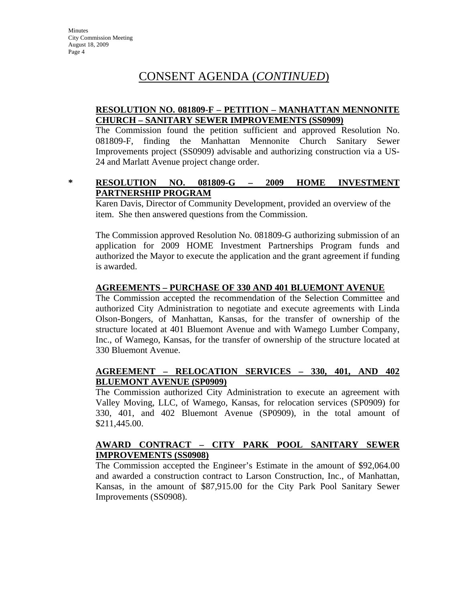## CONSENT AGENDA (*CONTINUED*)

#### **RESOLUTION NO. 081809-F – PETITION – MANHATTAN MENNONITE CHURCH – SANITARY SEWER IMPROVEMENTS (SS0909)**

The Commission found the petition sufficient and approved Resolution No. 081809-F, finding the Manhattan Mennonite Church Sanitary Sewer Improvements project (SS0909) advisable and authorizing construction via a US-24 and Marlatt Avenue project change order.

#### **\* RESOLUTION NO. 081809-G – 2009 HOME INVESTMENT PARTNERSHIP PROGRAM**

Karen Davis, Director of Community Development, provided an overview of the item. She then answered questions from the Commission.

The Commission approved Resolution No. 081809-G authorizing submission of an application for 2009 HOME Investment Partnerships Program funds and authorized the Mayor to execute the application and the grant agreement if funding is awarded.

### **AGREEMENTS – PURCHASE OF 330 AND 401 BLUEMONT AVENUE**

The Commission accepted the recommendation of the Selection Committee and authorized City Administration to negotiate and execute agreements with Linda Olson-Bongers, of Manhattan, Kansas, for the transfer of ownership of the structure located at 401 Bluemont Avenue and with Wamego Lumber Company, Inc., of Wamego, Kansas, for the transfer of ownership of the structure located at 330 Bluemont Avenue.

#### **AGREEMENT – RELOCATION SERVICES – 330, 401, AND 402 BLUEMONT AVENUE (SP0909)**

The Commission authorized City Administration to execute an agreement with Valley Moving, LLC, of Wamego, Kansas, for relocation services (SP0909) for 330, 401, and 402 Bluemont Avenue (SP0909), in the total amount of \$211,445.00.

#### **AWARD CONTRACT – CITY PARK POOL SANITARY SEWER IMPROVEMENTS (SS0908)**

The Commission accepted the Engineer's Estimate in the amount of \$92,064.00 and awarded a construction contract to Larson Construction, Inc., of Manhattan, Kansas, in the amount of \$87,915.00 for the City Park Pool Sanitary Sewer Improvements (SS0908).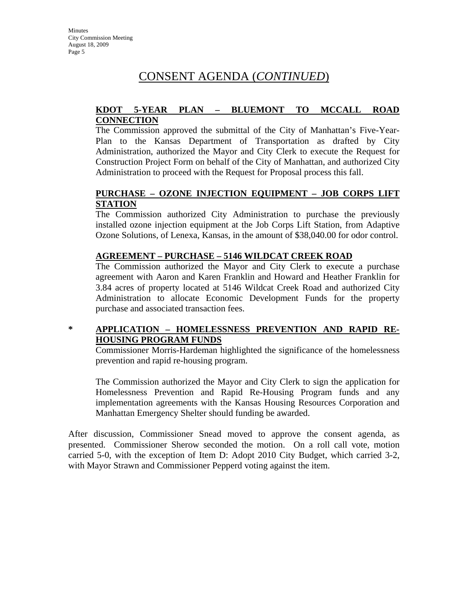# CONSENT AGENDA (*CONTINUED*)

#### **KDOT 5-YEAR PLAN – BLUEMONT TO MCCALL ROAD CONNECTION**

The Commission approved the submittal of the City of Manhattan's Five-Year-Plan to the Kansas Department of Transportation as drafted by City Administration, authorized the Mayor and City Clerk to execute the Request for Construction Project Form on behalf of the City of Manhattan, and authorized City Administration to proceed with the Request for Proposal process this fall.

### **PURCHASE – OZONE INJECTION EQUIPMENT – JOB CORPS LIFT STATION**

The Commission authorized City Administration to purchase the previously installed ozone injection equipment at the Job Corps Lift Station, from Adaptive Ozone Solutions, of Lenexa, Kansas, in the amount of \$38,040.00 for odor control.

### **AGREEMENT – PURCHASE – 5146 WILDCAT CREEK ROAD**

The Commission authorized the Mayor and City Clerk to execute a purchase agreement with Aaron and Karen Franklin and Howard and Heather Franklin for 3.84 acres of property located at 5146 Wildcat Creek Road and authorized City Administration to allocate Economic Development Funds for the property purchase and associated transaction fees.

### **\* APPLICATION – HOMELESSNESS PREVENTION AND RAPID RE-HOUSING PROGRAM FUNDS**

Commissioner Morris-Hardeman highlighted the significance of the homelessness prevention and rapid re-housing program.

The Commission authorized the Mayor and City Clerk to sign the application for Homelessness Prevention and Rapid Re-Housing Program funds and any implementation agreements with the Kansas Housing Resources Corporation and Manhattan Emergency Shelter should funding be awarded.

After discussion, Commissioner Snead moved to approve the consent agenda, as presented. Commissioner Sherow seconded the motion. On a roll call vote, motion carried 5-0, with the exception of Item D: Adopt 2010 City Budget, which carried 3-2, with Mayor Strawn and Commissioner Pepperd voting against the item.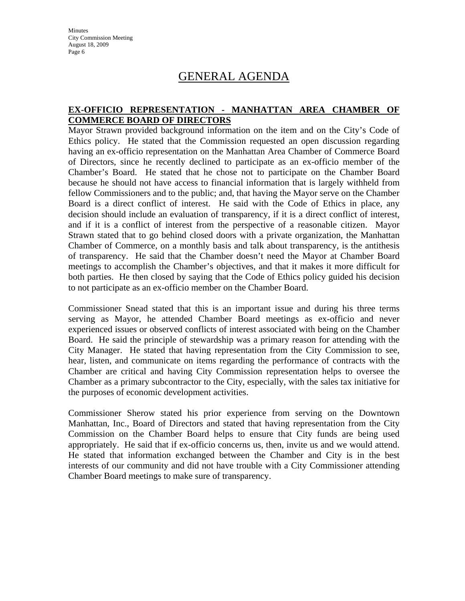**Minutes** City Commission Meeting August 18, 2009 Page 6

## GENERAL AGENDA

#### **EX-OFFICIO REPRESENTATION - MANHATTAN AREA CHAMBER OF COMMERCE BOARD OF DIRECTORS**

Mayor Strawn provided background information on the item and on the City's Code of Ethics policy. He stated that the Commission requested an open discussion regarding having an ex-officio representation on the Manhattan Area Chamber of Commerce Board of Directors, since he recently declined to participate as an ex-officio member of the Chamber's Board. He stated that he chose not to participate on the Chamber Board because he should not have access to financial information that is largely withheld from fellow Commissioners and to the public; and, that having the Mayor serve on the Chamber Board is a direct conflict of interest. He said with the Code of Ethics in place, any decision should include an evaluation of transparency, if it is a direct conflict of interest, and if it is a conflict of interest from the perspective of a reasonable citizen. Mayor Strawn stated that to go behind closed doors with a private organization, the Manhattan Chamber of Commerce, on a monthly basis and talk about transparency, is the antithesis of transparency. He said that the Chamber doesn't need the Mayor at Chamber Board meetings to accomplish the Chamber's objectives, and that it makes it more difficult for both parties. He then closed by saying that the Code of Ethics policy guided his decision to not participate as an ex-officio member on the Chamber Board.

Commissioner Snead stated that this is an important issue and during his three terms serving as Mayor, he attended Chamber Board meetings as ex-officio and never experienced issues or observed conflicts of interest associated with being on the Chamber Board. He said the principle of stewardship was a primary reason for attending with the City Manager. He stated that having representation from the City Commission to see, hear, listen, and communicate on items regarding the performance of contracts with the Chamber are critical and having City Commission representation helps to oversee the Chamber as a primary subcontractor to the City, especially, with the sales tax initiative for the purposes of economic development activities.

Commissioner Sherow stated his prior experience from serving on the Downtown Manhattan, Inc., Board of Directors and stated that having representation from the City Commission on the Chamber Board helps to ensure that City funds are being used appropriately. He said that if ex-officio concerns us, then, invite us and we would attend. He stated that information exchanged between the Chamber and City is in the best interests of our community and did not have trouble with a City Commissioner attending Chamber Board meetings to make sure of transparency.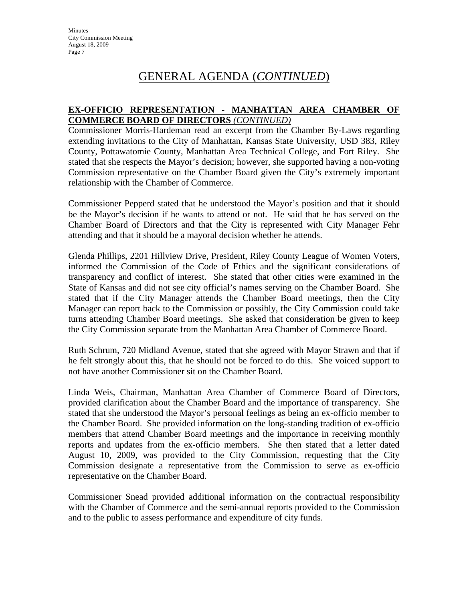#### **EX-OFFICIO REPRESENTATION - MANHATTAN AREA CHAMBER OF COMMERCE BOARD OF DIRECTORS** *(CONTINUED)*

Commissioner Morris-Hardeman read an excerpt from the Chamber By-Laws regarding extending invitations to the City of Manhattan, Kansas State University, USD 383, Riley County, Pottawatomie County, Manhattan Area Technical College, and Fort Riley. She stated that she respects the Mayor's decision; however, she supported having a non-voting Commission representative on the Chamber Board given the City's extremely important relationship with the Chamber of Commerce.

Commissioner Pepperd stated that he understood the Mayor's position and that it should be the Mayor's decision if he wants to attend or not. He said that he has served on the Chamber Board of Directors and that the City is represented with City Manager Fehr attending and that it should be a mayoral decision whether he attends.

Glenda Phillips, 2201 Hillview Drive, President, Riley County League of Women Voters, informed the Commission of the Code of Ethics and the significant considerations of transparency and conflict of interest. She stated that other cities were examined in the State of Kansas and did not see city official's names serving on the Chamber Board. She stated that if the City Manager attends the Chamber Board meetings, then the City Manager can report back to the Commission or possibly, the City Commission could take turns attending Chamber Board meetings. She asked that consideration be given to keep the City Commission separate from the Manhattan Area Chamber of Commerce Board.

Ruth Schrum, 720 Midland Avenue, stated that she agreed with Mayor Strawn and that if he felt strongly about this, that he should not be forced to do this. She voiced support to not have another Commissioner sit on the Chamber Board.

Linda Weis, Chairman, Manhattan Area Chamber of Commerce Board of Directors, provided clarification about the Chamber Board and the importance of transparency. She stated that she understood the Mayor's personal feelings as being an ex-officio member to the Chamber Board. She provided information on the long-standing tradition of ex-officio members that attend Chamber Board meetings and the importance in receiving monthly reports and updates from the ex-officio members. She then stated that a letter dated August 10, 2009, was provided to the City Commission, requesting that the City Commission designate a representative from the Commission to serve as ex-officio representative on the Chamber Board.

Commissioner Snead provided additional information on the contractual responsibility with the Chamber of Commerce and the semi-annual reports provided to the Commission and to the public to assess performance and expenditure of city funds.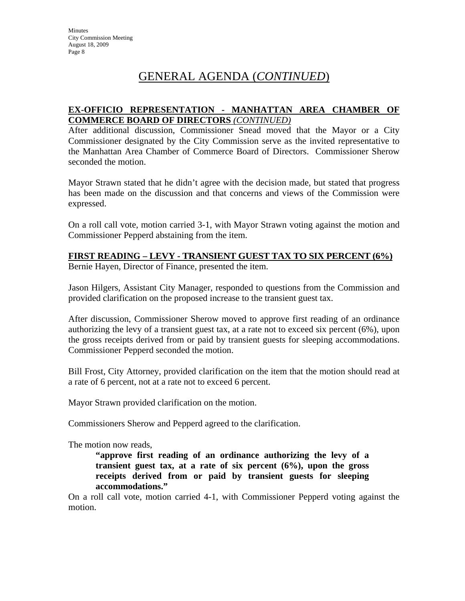### **EX-OFFICIO REPRESENTATION - MANHATTAN AREA CHAMBER OF COMMERCE BOARD OF DIRECTORS** *(CONTINUED)*

After additional discussion, Commissioner Snead moved that the Mayor or a City Commissioner designated by the City Commission serve as the invited representative to the Manhattan Area Chamber of Commerce Board of Directors. Commissioner Sherow seconded the motion.

Mayor Strawn stated that he didn't agree with the decision made, but stated that progress has been made on the discussion and that concerns and views of the Commission were expressed.

On a roll call vote, motion carried 3-1, with Mayor Strawn voting against the motion and Commissioner Pepperd abstaining from the item.

### **FIRST READING – LEVY - TRANSIENT GUEST TAX TO SIX PERCENT (6%)**

Bernie Hayen, Director of Finance, presented the item.

Jason Hilgers, Assistant City Manager, responded to questions from the Commission and provided clarification on the proposed increase to the transient guest tax.

After discussion, Commissioner Sherow moved to approve first reading of an ordinance authorizing the levy of a transient guest tax, at a rate not to exceed six percent (6%), upon the gross receipts derived from or paid by transient guests for sleeping accommodations. Commissioner Pepperd seconded the motion.

Bill Frost, City Attorney, provided clarification on the item that the motion should read at a rate of 6 percent, not at a rate not to exceed 6 percent.

Mayor Strawn provided clarification on the motion.

Commissioners Sherow and Pepperd agreed to the clarification.

The motion now reads,

**"approve first reading of an ordinance authorizing the levy of a transient guest tax, at a rate of six percent (6%), upon the gross receipts derived from or paid by transient guests for sleeping accommodations."**

On a roll call vote, motion carried 4-1, with Commissioner Pepperd voting against the motion.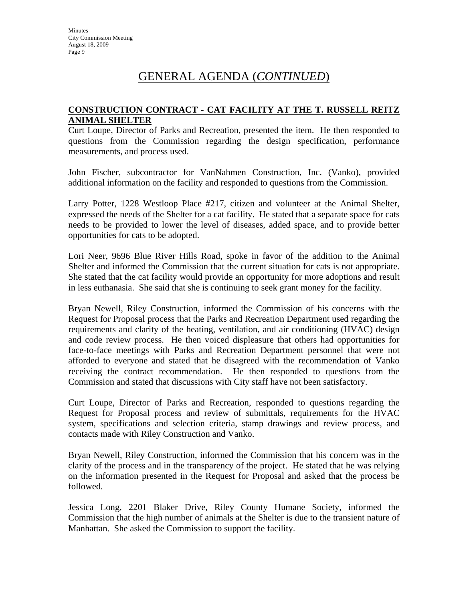#### **CONSTRUCTION CONTRACT - CAT FACILITY AT THE T. RUSSELL REITZ ANIMAL SHELTER**

Curt Loupe, Director of Parks and Recreation, presented the item. He then responded to questions from the Commission regarding the design specification, performance measurements, and process used.

John Fischer, subcontractor for VanNahmen Construction, Inc. (Vanko), provided additional information on the facility and responded to questions from the Commission.

Larry Potter, 1228 Westloop Place #217, citizen and volunteer at the Animal Shelter, expressed the needs of the Shelter for a cat facility. He stated that a separate space for cats needs to be provided to lower the level of diseases, added space, and to provide better opportunities for cats to be adopted.

Lori Neer, 9696 Blue River Hills Road, spoke in favor of the addition to the Animal Shelter and informed the Commission that the current situation for cats is not appropriate. She stated that the cat facility would provide an opportunity for more adoptions and result in less euthanasia. She said that she is continuing to seek grant money for the facility.

Bryan Newell, Riley Construction, informed the Commission of his concerns with the Request for Proposal process that the Parks and Recreation Department used regarding the requirements and clarity of the heating, ventilation, and air conditioning (HVAC) design and code review process. He then voiced displeasure that others had opportunities for face-to-face meetings with Parks and Recreation Department personnel that were not afforded to everyone and stated that he disagreed with the recommendation of Vanko receiving the contract recommendation. He then responded to questions from the Commission and stated that discussions with City staff have not been satisfactory.

Curt Loupe, Director of Parks and Recreation, responded to questions regarding the Request for Proposal process and review of submittals, requirements for the HVAC system, specifications and selection criteria, stamp drawings and review process, and contacts made with Riley Construction and Vanko.

Bryan Newell, Riley Construction, informed the Commission that his concern was in the clarity of the process and in the transparency of the project. He stated that he was relying on the information presented in the Request for Proposal and asked that the process be followed.

Jessica Long, 2201 Blaker Drive, Riley County Humane Society, informed the Commission that the high number of animals at the Shelter is due to the transient nature of Manhattan. She asked the Commission to support the facility.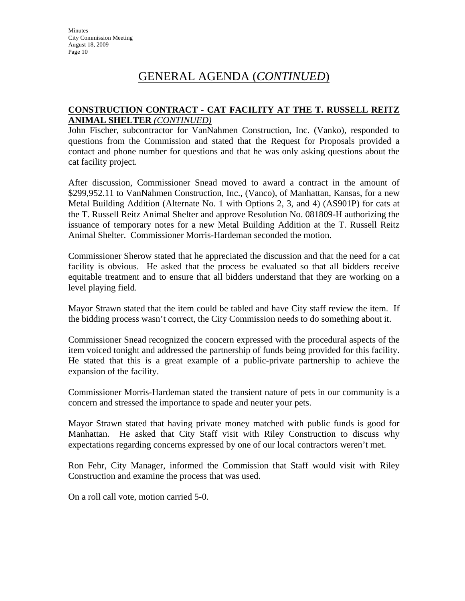#### **CONSTRUCTION CONTRACT - CAT FACILITY AT THE T. RUSSELL REITZ ANIMAL SHELTER** *(CONTINUED)*

John Fischer, subcontractor for VanNahmen Construction, Inc. (Vanko), responded to questions from the Commission and stated that the Request for Proposals provided a contact and phone number for questions and that he was only asking questions about the cat facility project.

After discussion, Commissioner Snead moved to award a contract in the amount of \$299,952.11 to VanNahmen Construction, Inc., (Vanco), of Manhattan, Kansas, for a new Metal Building Addition (Alternate No. 1 with Options 2, 3, and 4) (AS901P) for cats at the T. Russell Reitz Animal Shelter and approve Resolution No. 081809-H authorizing the issuance of temporary notes for a new Metal Building Addition at the T. Russell Reitz Animal Shelter. Commissioner Morris-Hardeman seconded the motion.

Commissioner Sherow stated that he appreciated the discussion and that the need for a cat facility is obvious. He asked that the process be evaluated so that all bidders receive equitable treatment and to ensure that all bidders understand that they are working on a level playing field.

Mayor Strawn stated that the item could be tabled and have City staff review the item. If the bidding process wasn't correct, the City Commission needs to do something about it.

Commissioner Snead recognized the concern expressed with the procedural aspects of the item voiced tonight and addressed the partnership of funds being provided for this facility. He stated that this is a great example of a public-private partnership to achieve the expansion of the facility.

Commissioner Morris-Hardeman stated the transient nature of pets in our community is a concern and stressed the importance to spade and neuter your pets.

Mayor Strawn stated that having private money matched with public funds is good for Manhattan. He asked that City Staff visit with Riley Construction to discuss why expectations regarding concerns expressed by one of our local contractors weren't met.

Ron Fehr, City Manager, informed the Commission that Staff would visit with Riley Construction and examine the process that was used.

On a roll call vote, motion carried 5-0.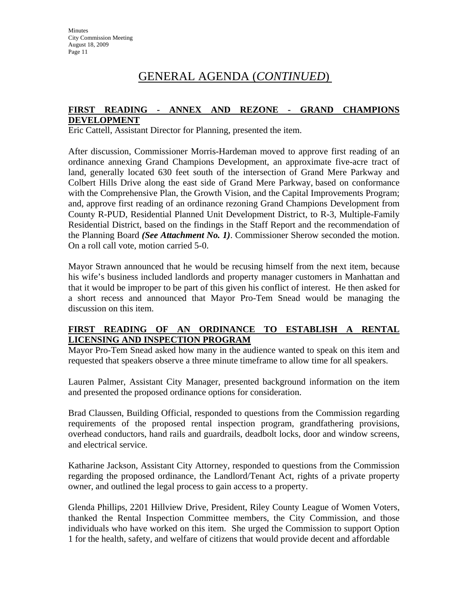#### **FIRST READING - ANNEX AND REZONE - GRAND CHAMPIONS DEVELOPMENT**

Eric Cattell, Assistant Director for Planning, presented the item.

After discussion, Commissioner Morris-Hardeman moved to approve first reading of an ordinance annexing Grand Champions Development, an approximate five-acre tract of land, generally located 630 feet south of the intersection of Grand Mere Parkway and Colbert Hills Drive along the east side of Grand Mere Parkway, based on conformance with the Comprehensive Plan, the Growth Vision, and the Capital Improvements Program; and, approve first reading of an ordinance rezoning Grand Champions Development from County R-PUD, Residential Planned Unit Development District, to R-3, Multiple-Family Residential District, based on the findings in the Staff Report and the recommendation of the Planning Board *(See Attachment No. 1)*. Commissioner Sherow seconded the motion. On a roll call vote, motion carried 5-0.

Mayor Strawn announced that he would be recusing himself from the next item, because his wife's business included landlords and property manager customers in Manhattan and that it would be improper to be part of this given his conflict of interest. He then asked for a short recess and announced that Mayor Pro-Tem Snead would be managing the discussion on this item.

### **FIRST READING OF AN ORDINANCE TO ESTABLISH A RENTAL LICENSING AND INSPECTION PROGRAM**

Mayor Pro-Tem Snead asked how many in the audience wanted to speak on this item and requested that speakers observe a three minute timeframe to allow time for all speakers.

Lauren Palmer, Assistant City Manager, presented background information on the item and presented the proposed ordinance options for consideration.

Brad Claussen, Building Official, responded to questions from the Commission regarding requirements of the proposed rental inspection program, grandfathering provisions, overhead conductors, hand rails and guardrails, deadbolt locks, door and window screens, and electrical service.

Katharine Jackson, Assistant City Attorney, responded to questions from the Commission regarding the proposed ordinance, the Landlord/Tenant Act, rights of a private property owner, and outlined the legal process to gain access to a property.

Glenda Phillips, 2201 Hillview Drive, President, Riley County League of Women Voters, thanked the Rental Inspection Committee members, the City Commission, and those individuals who have worked on this item. She urged the Commission to support Option 1 for the health, safety, and welfare of citizens that would provide decent and affordable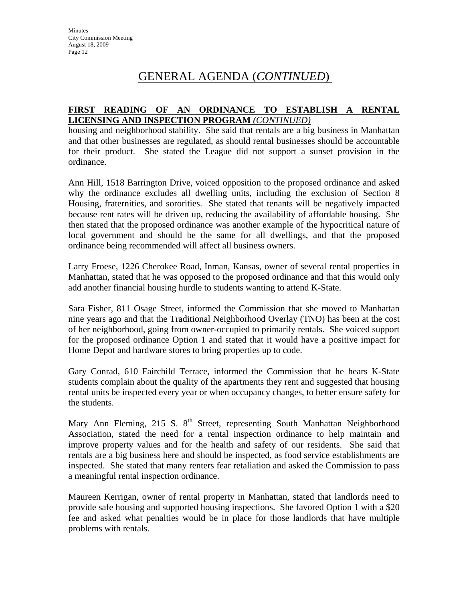### **FIRST READING OF AN ORDINANCE TO ESTABLISH A RENTAL LICENSING AND INSPECTION PROGRAM** *(CONTINUED)*

housing and neighborhood stability. She said that rentals are a big business in Manhattan and that other businesses are regulated, as should rental businesses should be accountable for their product. She stated the League did not support a sunset provision in the ordinance.

Ann Hill, 1518 Barrington Drive, voiced opposition to the proposed ordinance and asked why the ordinance excludes all dwelling units, including the exclusion of Section 8 Housing, fraternities, and sororities. She stated that tenants will be negatively impacted because rent rates will be driven up, reducing the availability of affordable housing. She then stated that the proposed ordinance was another example of the hypocritical nature of local government and should be the same for all dwellings, and that the proposed ordinance being recommended will affect all business owners.

Larry Froese, 1226 Cherokee Road, Inman, Kansas, owner of several rental properties in Manhattan, stated that he was opposed to the proposed ordinance and that this would only add another financial housing hurdle to students wanting to attend K-State.

Sara Fisher, 811 Osage Street, informed the Commission that she moved to Manhattan nine years ago and that the Traditional Neighborhood Overlay (TNO) has been at the cost of her neighborhood, going from owner-occupied to primarily rentals. She voiced support for the proposed ordinance Option 1 and stated that it would have a positive impact for Home Depot and hardware stores to bring properties up to code.

Gary Conrad, 610 Fairchild Terrace, informed the Commission that he hears K-State students complain about the quality of the apartments they rent and suggested that housing rental units be inspected every year or when occupancy changes, to better ensure safety for the students.

Mary Ann Fleming, 215 S. 8<sup>th</sup> Street, representing South Manhattan Neighborhood Association, stated the need for a rental inspection ordinance to help maintain and improve property values and for the health and safety of our residents. She said that rentals are a big business here and should be inspected, as food service establishments are inspected. She stated that many renters fear retaliation and asked the Commission to pass a meaningful rental inspection ordinance.

Maureen Kerrigan, owner of rental property in Manhattan, stated that landlords need to provide safe housing and supported housing inspections. She favored Option 1 with a \$20 fee and asked what penalties would be in place for those landlords that have multiple problems with rentals.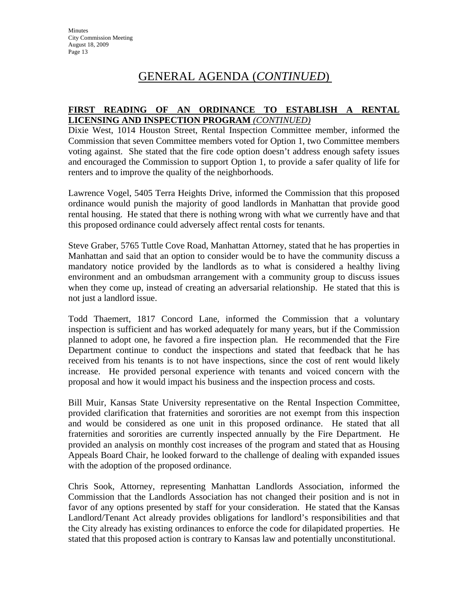### **FIRST READING OF AN ORDINANCE TO ESTABLISH A RENTAL LICENSING AND INSPECTION PROGRAM** *(CONTINUED)*

Dixie West, 1014 Houston Street, Rental Inspection Committee member, informed the Commission that seven Committee members voted for Option 1, two Committee members voting against. She stated that the fire code option doesn't address enough safety issues and encouraged the Commission to support Option 1, to provide a safer quality of life for renters and to improve the quality of the neighborhoods.

Lawrence Vogel, 5405 Terra Heights Drive, informed the Commission that this proposed ordinance would punish the majority of good landlords in Manhattan that provide good rental housing. He stated that there is nothing wrong with what we currently have and that this proposed ordinance could adversely affect rental costs for tenants.

Steve Graber, 5765 Tuttle Cove Road, Manhattan Attorney, stated that he has properties in Manhattan and said that an option to consider would be to have the community discuss a mandatory notice provided by the landlords as to what is considered a healthy living environment and an ombudsman arrangement with a community group to discuss issues when they come up, instead of creating an adversarial relationship. He stated that this is not just a landlord issue.

Todd Thaemert, 1817 Concord Lane, informed the Commission that a voluntary inspection is sufficient and has worked adequately for many years, but if the Commission planned to adopt one, he favored a fire inspection plan. He recommended that the Fire Department continue to conduct the inspections and stated that feedback that he has received from his tenants is to not have inspections, since the cost of rent would likely increase. He provided personal experience with tenants and voiced concern with the proposal and how it would impact his business and the inspection process and costs.

Bill Muir, Kansas State University representative on the Rental Inspection Committee, provided clarification that fraternities and sororities are not exempt from this inspection and would be considered as one unit in this proposed ordinance. He stated that all fraternities and sororities are currently inspected annually by the Fire Department. He provided an analysis on monthly cost increases of the program and stated that as Housing Appeals Board Chair, he looked forward to the challenge of dealing with expanded issues with the adoption of the proposed ordinance.

Chris Sook, Attorney, representing Manhattan Landlords Association, informed the Commission that the Landlords Association has not changed their position and is not in favor of any options presented by staff for your consideration. He stated that the Kansas Landlord/Tenant Act already provides obligations for landlord's responsibilities and that the City already has existing ordinances to enforce the code for dilapidated properties. He stated that this proposed action is contrary to Kansas law and potentially unconstitutional.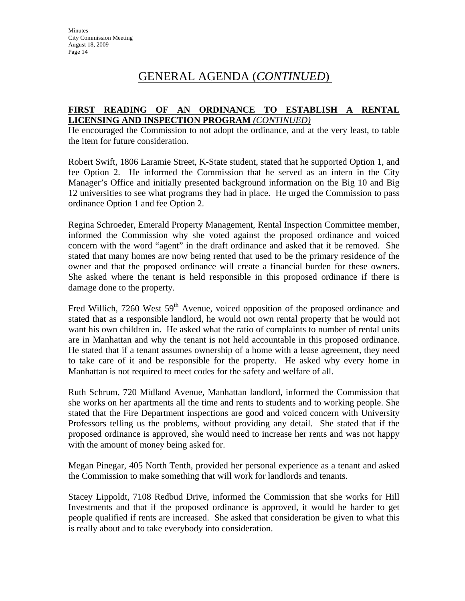### **FIRST READING OF AN ORDINANCE TO ESTABLISH A RENTAL LICENSING AND INSPECTION PROGRAM** *(CONTINUED)*

He encouraged the Commission to not adopt the ordinance, and at the very least, to table the item for future consideration.

Robert Swift, 1806 Laramie Street, K-State student, stated that he supported Option 1, and fee Option 2. He informed the Commission that he served as an intern in the City Manager's Office and initially presented background information on the Big 10 and Big 12 universities to see what programs they had in place. He urged the Commission to pass ordinance Option 1 and fee Option 2.

Regina Schroeder, Emerald Property Management, Rental Inspection Committee member, informed the Commission why she voted against the proposed ordinance and voiced concern with the word "agent" in the draft ordinance and asked that it be removed. She stated that many homes are now being rented that used to be the primary residence of the owner and that the proposed ordinance will create a financial burden for these owners. She asked where the tenant is held responsible in this proposed ordinance if there is damage done to the property.

Fred Willich, 7260 West 59<sup>th</sup> Avenue, voiced opposition of the proposed ordinance and stated that as a responsible landlord, he would not own rental property that he would not want his own children in. He asked what the ratio of complaints to number of rental units are in Manhattan and why the tenant is not held accountable in this proposed ordinance. He stated that if a tenant assumes ownership of a home with a lease agreement, they need to take care of it and be responsible for the property. He asked why every home in Manhattan is not required to meet codes for the safety and welfare of all.

Ruth Schrum, 720 Midland Avenue, Manhattan landlord, informed the Commission that she works on her apartments all the time and rents to students and to working people. She stated that the Fire Department inspections are good and voiced concern with University Professors telling us the problems, without providing any detail. She stated that if the proposed ordinance is approved, she would need to increase her rents and was not happy with the amount of money being asked for.

Megan Pinegar, 405 North Tenth, provided her personal experience as a tenant and asked the Commission to make something that will work for landlords and tenants.

Stacey Lippoldt, 7108 Redbud Drive, informed the Commission that she works for Hill Investments and that if the proposed ordinance is approved, it would he harder to get people qualified if rents are increased. She asked that consideration be given to what this is really about and to take everybody into consideration.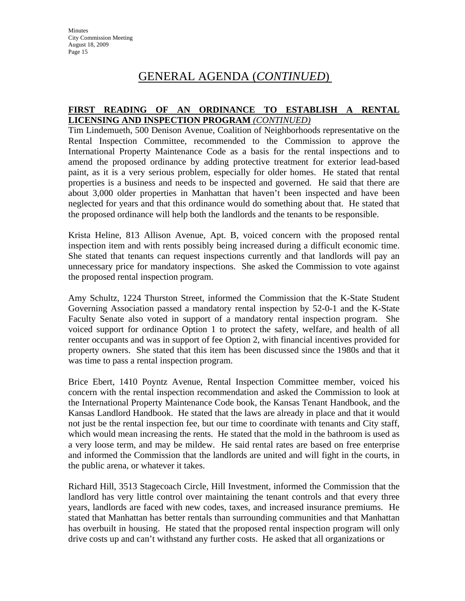### **FIRST READING OF AN ORDINANCE TO ESTABLISH A RENTAL LICENSING AND INSPECTION PROGRAM** *(CONTINUED)*

Tim Lindemueth, 500 Denison Avenue, Coalition of Neighborhoods representative on the Rental Inspection Committee, recommended to the Commission to approve the International Property Maintenance Code as a basis for the rental inspections and to amend the proposed ordinance by adding protective treatment for exterior lead-based paint, as it is a very serious problem, especially for older homes. He stated that rental properties is a business and needs to be inspected and governed. He said that there are about 3,000 older properties in Manhattan that haven't been inspected and have been neglected for years and that this ordinance would do something about that. He stated that the proposed ordinance will help both the landlords and the tenants to be responsible.

Krista Heline, 813 Allison Avenue, Apt. B, voiced concern with the proposed rental inspection item and with rents possibly being increased during a difficult economic time. She stated that tenants can request inspections currently and that landlords will pay an unnecessary price for mandatory inspections. She asked the Commission to vote against the proposed rental inspection program.

Amy Schultz, 1224 Thurston Street, informed the Commission that the K-State Student Governing Association passed a mandatory rental inspection by 52-0-1 and the K-State Faculty Senate also voted in support of a mandatory rental inspection program. She voiced support for ordinance Option 1 to protect the safety, welfare, and health of all renter occupants and was in support of fee Option 2, with financial incentives provided for property owners. She stated that this item has been discussed since the 1980s and that it was time to pass a rental inspection program.

Brice Ebert, 1410 Poyntz Avenue, Rental Inspection Committee member, voiced his concern with the rental inspection recommendation and asked the Commission to look at the International Property Maintenance Code book, the Kansas Tenant Handbook, and the Kansas Landlord Handbook. He stated that the laws are already in place and that it would not just be the rental inspection fee, but our time to coordinate with tenants and City staff, which would mean increasing the rents. He stated that the mold in the bathroom is used as a very loose term, and may be mildew. He said rental rates are based on free enterprise and informed the Commission that the landlords are united and will fight in the courts, in the public arena, or whatever it takes.

Richard Hill, 3513 Stagecoach Circle, Hill Investment, informed the Commission that the landlord has very little control over maintaining the tenant controls and that every three years, landlords are faced with new codes, taxes, and increased insurance premiums. He stated that Manhattan has better rentals than surrounding communities and that Manhattan has overbuilt in housing. He stated that the proposed rental inspection program will only drive costs up and can't withstand any further costs. He asked that all organizations or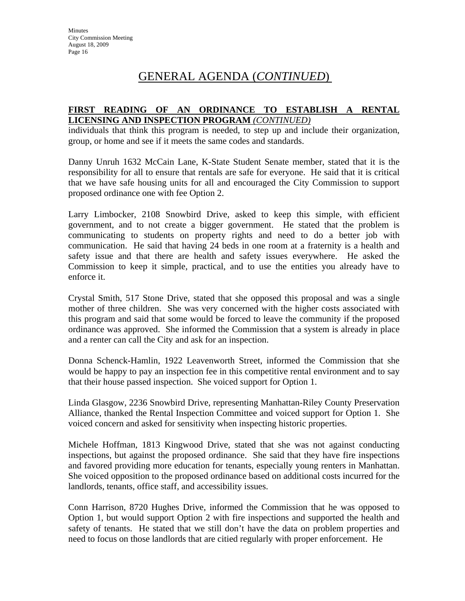#### **FIRST READING OF AN ORDINANCE TO ESTABLISH A RENTAL LICENSING AND INSPECTION PROGRAM** *(CONTINUED)*

individuals that think this program is needed, to step up and include their organization, group, or home and see if it meets the same codes and standards.

Danny Unruh 1632 McCain Lane, K-State Student Senate member, stated that it is the responsibility for all to ensure that rentals are safe for everyone. He said that it is critical that we have safe housing units for all and encouraged the City Commission to support proposed ordinance one with fee Option 2.

Larry Limbocker, 2108 Snowbird Drive, asked to keep this simple, with efficient government, and to not create a bigger government. He stated that the problem is communicating to students on property rights and need to do a better job with communication. He said that having 24 beds in one room at a fraternity is a health and safety issue and that there are health and safety issues everywhere. He asked the Commission to keep it simple, practical, and to use the entities you already have to enforce it.

Crystal Smith, 517 Stone Drive, stated that she opposed this proposal and was a single mother of three children. She was very concerned with the higher costs associated with this program and said that some would be forced to leave the community if the proposed ordinance was approved. She informed the Commission that a system is already in place and a renter can call the City and ask for an inspection.

Donna Schenck-Hamlin, 1922 Leavenworth Street, informed the Commission that she would be happy to pay an inspection fee in this competitive rental environment and to say that their house passed inspection. She voiced support for Option 1.

Linda Glasgow, 2236 Snowbird Drive, representing Manhattan-Riley County Preservation Alliance, thanked the Rental Inspection Committee and voiced support for Option 1. She voiced concern and asked for sensitivity when inspecting historic properties.

Michele Hoffman, 1813 Kingwood Drive, stated that she was not against conducting inspections, but against the proposed ordinance. She said that they have fire inspections and favored providing more education for tenants, especially young renters in Manhattan. She voiced opposition to the proposed ordinance based on additional costs incurred for the landlords, tenants, office staff, and accessibility issues.

Conn Harrison, 8720 Hughes Drive, informed the Commission that he was opposed to Option 1, but would support Option 2 with fire inspections and supported the health and safety of tenants. He stated that we still don't have the data on problem properties and need to focus on those landlords that are citied regularly with proper enforcement. He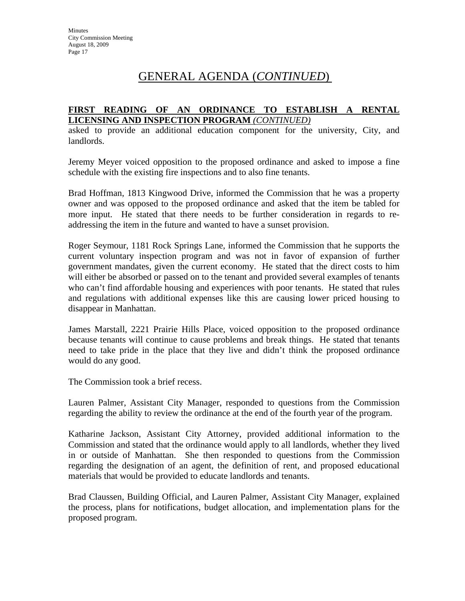#### **FIRST READING OF AN ORDINANCE TO ESTABLISH A RENTAL LICENSING AND INSPECTION PROGRAM** *(CONTINUED)*

asked to provide an additional education component for the university, City, and landlords.

Jeremy Meyer voiced opposition to the proposed ordinance and asked to impose a fine schedule with the existing fire inspections and to also fine tenants.

Brad Hoffman, 1813 Kingwood Drive, informed the Commission that he was a property owner and was opposed to the proposed ordinance and asked that the item be tabled for more input. He stated that there needs to be further consideration in regards to readdressing the item in the future and wanted to have a sunset provision.

Roger Seymour, 1181 Rock Springs Lane, informed the Commission that he supports the current voluntary inspection program and was not in favor of expansion of further government mandates, given the current economy. He stated that the direct costs to him will either be absorbed or passed on to the tenant and provided several examples of tenants who can't find affordable housing and experiences with poor tenants. He stated that rules and regulations with additional expenses like this are causing lower priced housing to disappear in Manhattan.

James Marstall, 2221 Prairie Hills Place, voiced opposition to the proposed ordinance because tenants will continue to cause problems and break things. He stated that tenants need to take pride in the place that they live and didn't think the proposed ordinance would do any good.

The Commission took a brief recess.

Lauren Palmer, Assistant City Manager, responded to questions from the Commission regarding the ability to review the ordinance at the end of the fourth year of the program.

Katharine Jackson, Assistant City Attorney, provided additional information to the Commission and stated that the ordinance would apply to all landlords, whether they lived in or outside of Manhattan. She then responded to questions from the Commission regarding the designation of an agent, the definition of rent, and proposed educational materials that would be provided to educate landlords and tenants.

Brad Claussen, Building Official, and Lauren Palmer, Assistant City Manager, explained the process, plans for notifications, budget allocation, and implementation plans for the proposed program.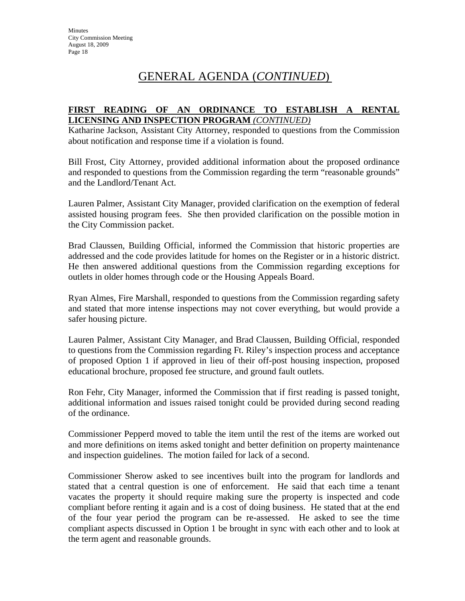### **FIRST READING OF AN ORDINANCE TO ESTABLISH A RENTAL LICENSING AND INSPECTION PROGRAM** *(CONTINUED)*

Katharine Jackson, Assistant City Attorney, responded to questions from the Commission about notification and response time if a violation is found.

Bill Frost, City Attorney, provided additional information about the proposed ordinance and responded to questions from the Commission regarding the term "reasonable grounds" and the Landlord/Tenant Act.

Lauren Palmer, Assistant City Manager, provided clarification on the exemption of federal assisted housing program fees. She then provided clarification on the possible motion in the City Commission packet.

Brad Claussen, Building Official, informed the Commission that historic properties are addressed and the code provides latitude for homes on the Register or in a historic district. He then answered additional questions from the Commission regarding exceptions for outlets in older homes through code or the Housing Appeals Board.

Ryan Almes, Fire Marshall, responded to questions from the Commission regarding safety and stated that more intense inspections may not cover everything, but would provide a safer housing picture.

Lauren Palmer, Assistant City Manager, and Brad Claussen, Building Official, responded to questions from the Commission regarding Ft. Riley's inspection process and acceptance of proposed Option 1 if approved in lieu of their off-post housing inspection, proposed educational brochure, proposed fee structure, and ground fault outlets.

Ron Fehr, City Manager, informed the Commission that if first reading is passed tonight, additional information and issues raised tonight could be provided during second reading of the ordinance.

Commissioner Pepperd moved to table the item until the rest of the items are worked out and more definitions on items asked tonight and better definition on property maintenance and inspection guidelines. The motion failed for lack of a second.

Commissioner Sherow asked to see incentives built into the program for landlords and stated that a central question is one of enforcement. He said that each time a tenant vacates the property it should require making sure the property is inspected and code compliant before renting it again and is a cost of doing business. He stated that at the end of the four year period the program can be re-assessed. He asked to see the time compliant aspects discussed in Option 1 be brought in sync with each other and to look at the term agent and reasonable grounds.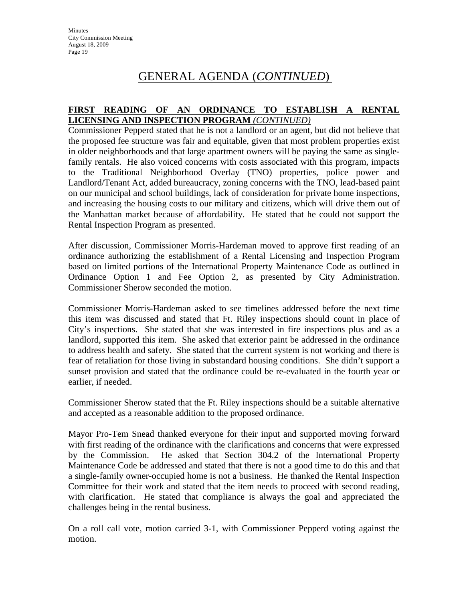### **FIRST READING OF AN ORDINANCE TO ESTABLISH A RENTAL LICENSING AND INSPECTION PROGRAM** *(CONTINUED)*

Commissioner Pepperd stated that he is not a landlord or an agent, but did not believe that the proposed fee structure was fair and equitable, given that most problem properties exist in older neighborhoods and that large apartment owners will be paying the same as singlefamily rentals. He also voiced concerns with costs associated with this program, impacts to the Traditional Neighborhood Overlay (TNO) properties, police power and Landlord/Tenant Act, added bureaucracy, zoning concerns with the TNO, lead-based paint on our municipal and school buildings, lack of consideration for private home inspections, and increasing the housing costs to our military and citizens, which will drive them out of the Manhattan market because of affordability. He stated that he could not support the Rental Inspection Program as presented.

After discussion, Commissioner Morris-Hardeman moved to approve first reading of an ordinance authorizing the establishment of a Rental Licensing and Inspection Program based on limited portions of the International Property Maintenance Code as outlined in Ordinance Option 1 and Fee Option 2, as presented by City Administration. Commissioner Sherow seconded the motion.

Commissioner Morris-Hardeman asked to see timelines addressed before the next time this item was discussed and stated that Ft. Riley inspections should count in place of City's inspections. She stated that she was interested in fire inspections plus and as a landlord, supported this item. She asked that exterior paint be addressed in the ordinance to address health and safety. She stated that the current system is not working and there is fear of retaliation for those living in substandard housing conditions. She didn't support a sunset provision and stated that the ordinance could be re-evaluated in the fourth year or earlier, if needed.

Commissioner Sherow stated that the Ft. Riley inspections should be a suitable alternative and accepted as a reasonable addition to the proposed ordinance.

Mayor Pro-Tem Snead thanked everyone for their input and supported moving forward with first reading of the ordinance with the clarifications and concerns that were expressed by the Commission. He asked that Section 304.2 of the International Property Maintenance Code be addressed and stated that there is not a good time to do this and that a single-family owner-occupied home is not a business. He thanked the Rental Inspection Committee for their work and stated that the item needs to proceed with second reading, with clarification. He stated that compliance is always the goal and appreciated the challenges being in the rental business.

On a roll call vote, motion carried 3-1, with Commissioner Pepperd voting against the motion.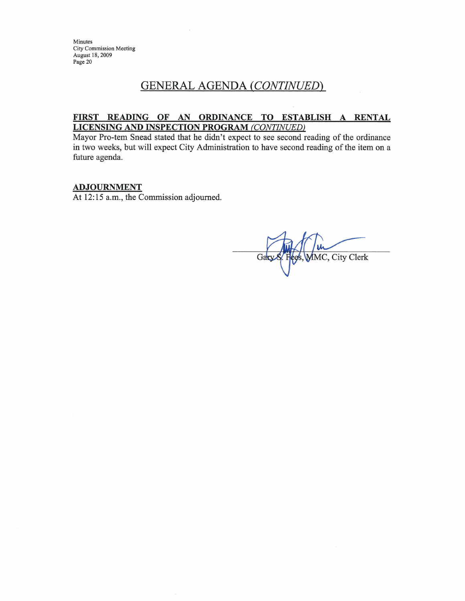Minutes City Commission Meeting August 18, 2009 Page 20

## **GENERAL AGENDA (CONTINUED)**

#### FIRST READING OF AN ORDINANCE TO ESTABLISH A RENTAL **LICENSING AND INSPECTION PROGRAM (CONTINUED)**

Mayor Pro-tem Snead stated that he didn't expect to see second reading of the ordinance in two weeks, but will expect City Administration to have second reading of the item on a future agenda.

### **ADJOURNMENT**

At 12:15 a.m., the Commission adjourned.

MMC, City Clerk Gary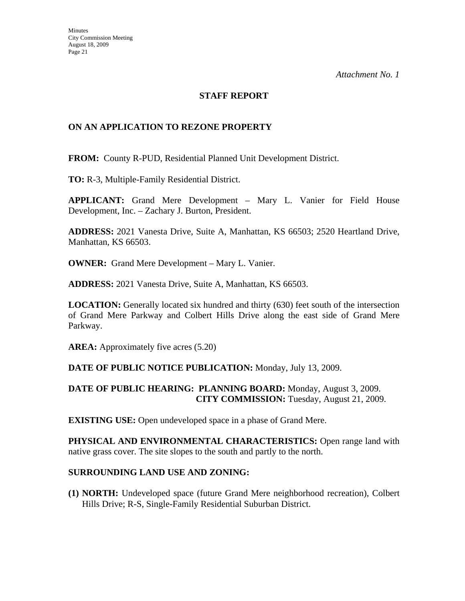### **STAFF REPORT**

### **ON AN APPLICATION TO REZONE PROPERTY**

**FROM:** County R-PUD, Residential Planned Unit Development District.

**TO:** R-3, Multiple-Family Residential District.

**APPLICANT:** Grand Mere Development – Mary L. Vanier for Field House Development, Inc. – Zachary J. Burton, President.

**ADDRESS:** 2021 Vanesta Drive, Suite A, Manhattan, KS 66503; 2520 Heartland Drive, Manhattan, KS 66503.

**OWNER:** Grand Mere Development – Mary L. Vanier.

**ADDRESS:** 2021 Vanesta Drive, Suite A, Manhattan, KS 66503.

**LOCATION:** Generally located six hundred and thirty (630) feet south of the intersection of Grand Mere Parkway and Colbert Hills Drive along the east side of Grand Mere Parkway.

**AREA:** Approximately five acres (5.20)

### **DATE OF PUBLIC NOTICE PUBLICATION:** Monday, July 13, 2009.

### **DATE OF PUBLIC HEARING: PLANNING BOARD:** Monday, August 3, 2009. **CITY COMMISSION:** Tuesday, August 21, 2009.

**EXISTING USE:** Open undeveloped space in a phase of Grand Mere.

**PHYSICAL AND ENVIRONMENTAL CHARACTERISTICS:** Open range land with native grass cover. The site slopes to the south and partly to the north.

#### **SURROUNDING LAND USE AND ZONING:**

**(1) NORTH:** Undeveloped space (future Grand Mere neighborhood recreation), Colbert Hills Drive; R-S, Single-Family Residential Suburban District.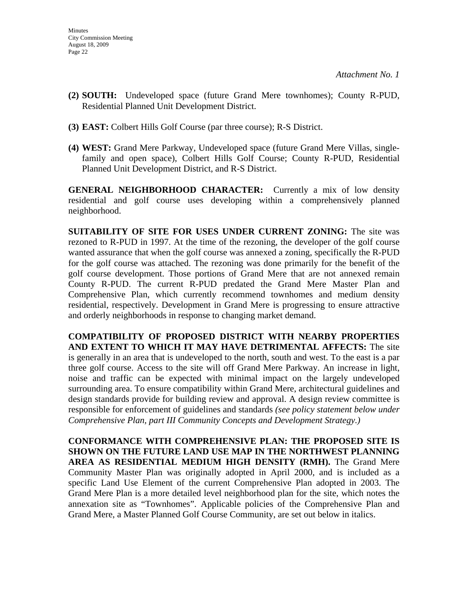- **(2) SOUTH:** Undeveloped space (future Grand Mere townhomes); County R-PUD, Residential Planned Unit Development District.
- **(3) EAST:** Colbert Hills Golf Course (par three course); R-S District.
- **(4) WEST:** Grand Mere Parkway, Undeveloped space (future Grand Mere Villas, singlefamily and open space), Colbert Hills Golf Course; County R-PUD, Residential Planned Unit Development District, and R-S District.

**GENERAL NEIGHBORHOOD CHARACTER:** Currently a mix of low density residential and golf course uses developing within a comprehensively planned neighborhood.

**SUITABILITY OF SITE FOR USES UNDER CURRENT ZONING:** The site was rezoned to R-PUD in 1997. At the time of the rezoning, the developer of the golf course wanted assurance that when the golf course was annexed a zoning, specifically the R-PUD for the golf course was attached. The rezoning was done primarily for the benefit of the golf course development. Those portions of Grand Mere that are not annexed remain County R-PUD. The current R-PUD predated the Grand Mere Master Plan and Comprehensive Plan, which currently recommend townhomes and medium density residential, respectively. Development in Grand Mere is progressing to ensure attractive and orderly neighborhoods in response to changing market demand.

**COMPATIBILITY OF PROPOSED DISTRICT WITH NEARBY PROPERTIES AND EXTENT TO WHICH IT MAY HAVE DETRIMENTAL AFFECTS:** The site is generally in an area that is undeveloped to the north, south and west. To the east is a par three golf course. Access to the site will off Grand Mere Parkway. An increase in light, noise and traffic can be expected with minimal impact on the largely undeveloped surrounding area. To ensure compatibility within Grand Mere, architectural guidelines and design standards provide for building review and approval. A design review committee is responsible for enforcement of guidelines and standards *(see policy statement below under Comprehensive Plan, part III Community Concepts and Development Strategy.)*

**CONFORMANCE WITH COMPREHENSIVE PLAN: THE PROPOSED SITE IS SHOWN ON THE FUTURE LAND USE MAP IN THE NORTHWEST PLANNING AREA AS RESIDENTIAL MEDIUM HIGH DENSITY (RMH).** The Grand Mere Community Master Plan was originally adopted in April 2000, and is included as a specific Land Use Element of the current Comprehensive Plan adopted in 2003. The Grand Mere Plan is a more detailed level neighborhood plan for the site, which notes the annexation site as "Townhomes". Applicable policies of the Comprehensive Plan and Grand Mere, a Master Planned Golf Course Community, are set out below in italics.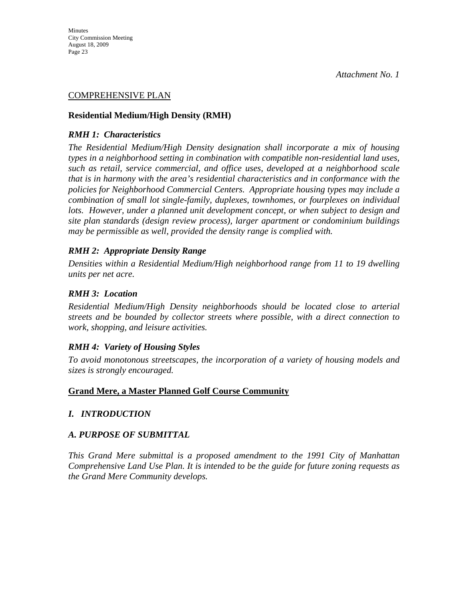#### COMPREHENSIVE PLAN

#### **Residential Medium/High Density (RMH)**

#### *RMH 1: Characteristics*

*The Residential Medium/High Density designation shall incorporate a mix of housing types in a neighborhood setting in combination with compatible non-residential land uses, such as retail, service commercial, and office uses, developed at a neighborhood scale that is in harmony with the area's residential characteristics and in conformance with the policies for Neighborhood Commercial Centers. Appropriate housing types may include a combination of small lot single-family, duplexes, townhomes, or fourplexes on individual lots. However, under a planned unit development concept, or when subject to design and site plan standards (design review process), larger apartment or condominium buildings may be permissible as well, provided the density range is complied with.* 

#### *RMH 2: Appropriate Density Range*

*Densities within a Residential Medium/High neighborhood range from 11 to 19 dwelling units per net acre.* 

#### *RMH 3: Location*

*Residential Medium/High Density neighborhoods should be located close to arterial streets and be bounded by collector streets where possible, with a direct connection to work, shopping, and leisure activities.* 

### *RMH 4: Variety of Housing Styles*

*To avoid monotonous streetscapes, the incorporation of a variety of housing models and sizes is strongly encouraged.* 

#### **Grand Mere, a Master Planned Golf Course Community**

### *I. INTRODUCTION*

#### *A. PURPOSE OF SUBMITTAL*

*This Grand Mere submittal is a proposed amendment to the 1991 City of Manhattan Comprehensive Land Use Plan. It is intended to be the guide for future zoning requests as the Grand Mere Community develops.*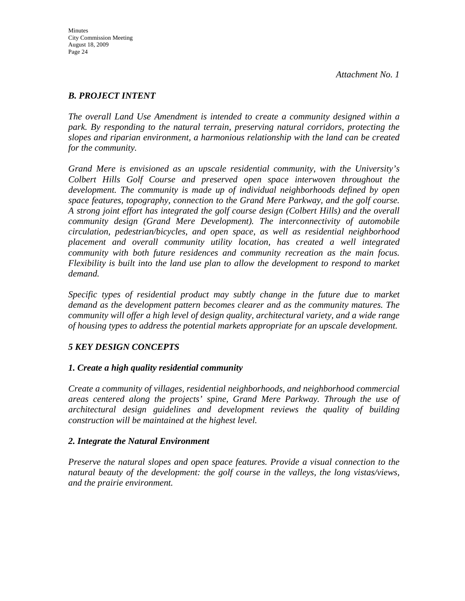### *B. PROJECT INTENT*

*The overall Land Use Amendment is intended to create a community designed within a park. By responding to the natural terrain, preserving natural corridors, protecting the slopes and riparian environment, a harmonious relationship with the land can be created for the community.* 

*Grand Mere is envisioned as an upscale residential community, with the University's Colbert Hills Golf Course and preserved open space interwoven throughout the development. The community is made up of individual neighborhoods defined by open space features, topography, connection to the Grand Mere Parkway, and the golf course. A strong joint effort has integrated the golf course design (Colbert Hills) and the overall community design (Grand Mere Development). The interconnectivity of automobile circulation, pedestrian/bicycles, and open space, as well as residential neighborhood placement and overall community utility location, has created a well integrated community with both future residences and community recreation as the main focus. Flexibility is built into the land use plan to allow the development to respond to market demand.* 

*Specific types of residential product may subtly change in the future due to market demand as the development pattern becomes clearer and as the community matures. The community will offer a high level of design quality, architectural variety, and a wide range of housing types to address the potential markets appropriate for an upscale development.* 

### *5 KEY DESIGN CONCEPTS*

### *1. Create a high quality residential community*

*Create a community of villages, residential neighborhoods, and neighborhood commercial areas centered along the projects' spine, Grand Mere Parkway. Through the use of architectural design guidelines and development reviews the quality of building construction will be maintained at the highest level.* 

#### *2. Integrate the Natural Environment*

*Preserve the natural slopes and open space features. Provide a visual connection to the natural beauty of the development: the golf course in the valleys, the long vistas/views, and the prairie environment.*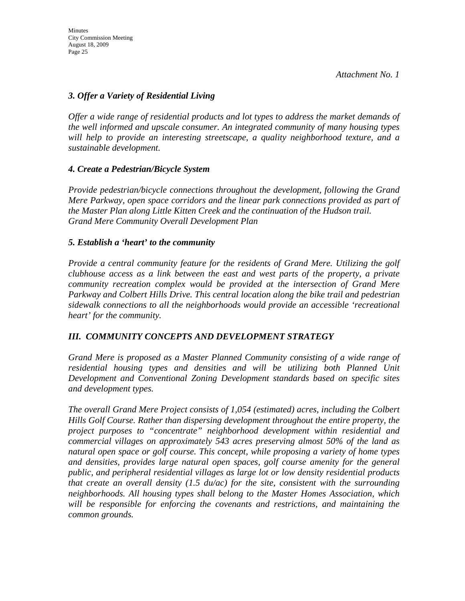### *3. Offer a Variety of Residential Living*

*Offer a wide range of residential products and lot types to address the market demands of the well informed and upscale consumer. An integrated community of many housing types will help to provide an interesting streetscape, a quality neighborhood texture, and a sustainable development.* 

### *4. Create a Pedestrian/Bicycle System*

*Provide pedestrian/bicycle connections throughout the development, following the Grand Mere Parkway, open space corridors and the linear park connections provided as part of the Master Plan along Little Kitten Creek and the continuation of the Hudson trail. Grand Mere Community Overall Development Plan* 

#### *5. Establish a 'heart' to the community*

*Provide a central community feature for the residents of Grand Mere. Utilizing the golf clubhouse access as a link between the east and west parts of the property, a private community recreation complex would be provided at the intersection of Grand Mere Parkway and Colbert Hills Drive. This central location along the bike trail and pedestrian sidewalk connections to all the neighborhoods would provide an accessible 'recreational heart' for the community.* 

### *III. COMMUNITY CONCEPTS AND DEVELOPMENT STRATEGY*

*Grand Mere is proposed as a Master Planned Community consisting of a wide range of residential housing types and densities and will be utilizing both Planned Unit Development and Conventional Zoning Development standards based on specific sites and development types.* 

*The overall Grand Mere Project consists of 1,054 (estimated) acres, including the Colbert Hills Golf Course. Rather than dispersing development throughout the entire property, the project purposes to "concentrate" neighborhood development within residential and commercial villages on approximately 543 acres preserving almost 50% of the land as natural open space or golf course. This concept, while proposing a variety of home types and densities, provides large natural open spaces, golf course amenity for the general public, and peripheral residential villages as large lot or low density residential products that create an overall density (1.5 du/ac) for the site, consistent with the surrounding neighborhoods. All housing types shall belong to the Master Homes Association, which will be responsible for enforcing the covenants and restrictions, and maintaining the common grounds.*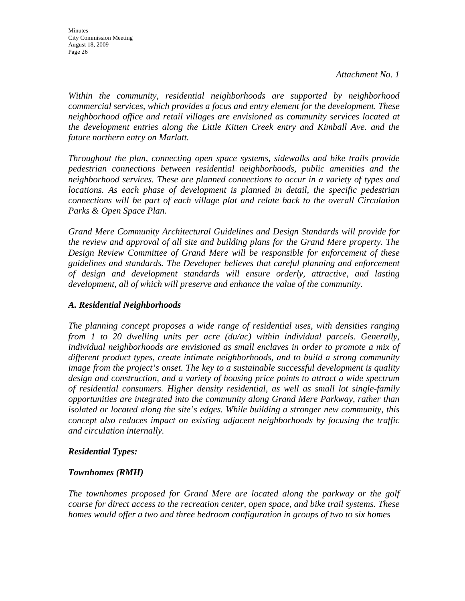*Within the community, residential neighborhoods are supported by neighborhood commercial services, which provides a focus and entry element for the development. These neighborhood office and retail villages are envisioned as community services located at the development entries along the Little Kitten Creek entry and Kimball Ave. and the future northern entry on Marlatt.* 

*Throughout the plan, connecting open space systems, sidewalks and bike trails provide pedestrian connections between residential neighborhoods, public amenities and the neighborhood services. These are planned connections to occur in a variety of types and locations. As each phase of development is planned in detail, the specific pedestrian connections will be part of each village plat and relate back to the overall Circulation Parks & Open Space Plan.* 

*Grand Mere Community Architectural Guidelines and Design Standards will provide for the review and approval of all site and building plans for the Grand Mere property. The Design Review Committee of Grand Mere will be responsible for enforcement of these guidelines and standards. The Developer believes that careful planning and enforcement of design and development standards will ensure orderly, attractive, and lasting development, all of which will preserve and enhance the value of the community.* 

### *A. Residential Neighborhoods*

*The planning concept proposes a wide range of residential uses, with densities ranging from 1 to 20 dwelling units per acre (du/ac) within individual parcels. Generally, individual neighborhoods are envisioned as small enclaves in order to promote a mix of different product types, create intimate neighborhoods, and to build a strong community image from the project's onset. The key to a sustainable successful development is quality design and construction, and a variety of housing price points to attract a wide spectrum of residential consumers. Higher density residential, as well as small lot single-family opportunities are integrated into the community along Grand Mere Parkway, rather than isolated or located along the site's edges. While building a stronger new community, this concept also reduces impact on existing adjacent neighborhoods by focusing the traffic and circulation internally.* 

### *Residential Types:*

### *Townhomes (RMH)*

*The townhomes proposed for Grand Mere are located along the parkway or the golf course for direct access to the recreation center, open space, and bike trail systems. These homes would offer a two and three bedroom configuration in groups of two to six homes*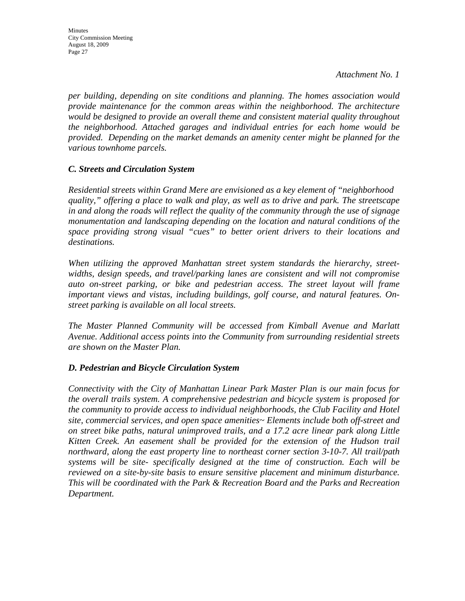*per building, depending on site conditions and planning. The homes association would provide maintenance for the common areas within the neighborhood. The architecture would be designed to provide an overall theme and consistent material quality throughout the neighborhood. Attached garages and individual entries for each home would be provided. Depending on the market demands an amenity center might be planned for the various townhome parcels.* 

### *C. Streets and Circulation System*

*Residential streets within Grand Mere are envisioned as a key element of "neighborhood quality," offering a place to walk and play, as well as to drive and park. The streetscape in and along the roads will reflect the quality of the community through the use of signage monumentation and landscaping depending on the location and natural conditions of the space providing strong visual "cues" to better orient drivers to their locations and destinations.* 

*When utilizing the approved Manhattan street system standards the hierarchy, streetwidths, design speeds, and travel/parking lanes are consistent and will not compromise auto on-street parking, or bike and pedestrian access. The street layout will frame important views and vistas, including buildings, golf course, and natural features. Onstreet parking is available on all local streets.* 

*The Master Planned Community will be accessed from Kimball Avenue and Marlatt Avenue. Additional access points into the Community from surrounding residential streets are shown on the Master Plan.* 

#### *D. Pedestrian and Bicycle Circulation System*

*Connectivity with the City of Manhattan Linear Park Master Plan is our main focus for the overall trails system. A comprehensive pedestrian and bicycle system is proposed for the community to provide access to individual neighborhoods, the Club Facility and Hotel site, commercial services, and open space amenities~ Elements include both off-street and on street bike paths, natural unimproved trails, and a 17.2 acre linear park along Little Kitten Creek. An easement shall be provided for the extension of the Hudson trail northward, along the east property line to northeast corner section 3-10-7. All trail/path systems will be site- specifically designed at the time of construction. Each will be reviewed on a site-by-site basis to ensure sensitive placement and minimum disturbance. This will be coordinated with the Park & Recreation Board and the Parks and Recreation Department.*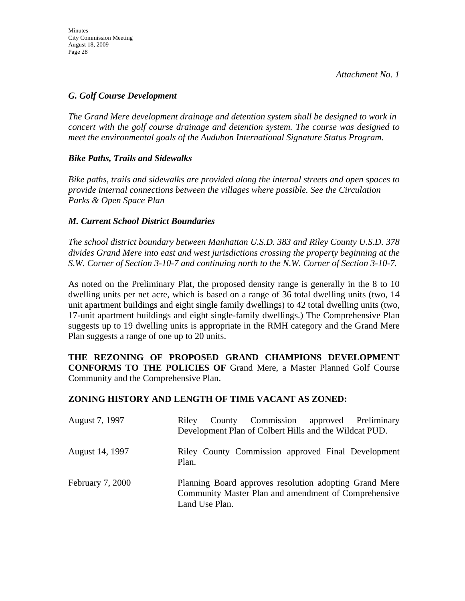#### *G. Golf Course Development*

*The Grand Mere development drainage and detention system shall be designed to work in concert with the golf course drainage and detention system. The course was designed to meet the environmental goals of the Audubon International Signature Status Program.* 

#### *Bike Paths, Trails and Sidewalks*

*Bike paths, trails and sidewalks are provided along the internal streets and open spaces to provide internal connections between the villages where possible. See the Circulation Parks & Open Space Plan* 

#### *M. Current School District Boundaries*

*The school district boundary between Manhattan U.S.D. 383 and Riley County U.S.D. 378 divides Grand Mere into east and west jurisdictions crossing the property beginning at the S.W. Corner of Section 3-10-7 and continuing north to the N.W. Corner of Section 3-10-7.* 

As noted on the Preliminary Plat, the proposed density range is generally in the 8 to 10 dwelling units per net acre, which is based on a range of 36 total dwelling units (two, 14 unit apartment buildings and eight single family dwellings) to 42 total dwelling units (two, 17-unit apartment buildings and eight single-family dwellings.) The Comprehensive Plan suggests up to 19 dwelling units is appropriate in the RMH category and the Grand Mere Plan suggests a range of one up to 20 units.

**THE REZONING OF PROPOSED GRAND CHAMPIONS DEVELOPMENT CONFORMS TO THE POLICIES OF** Grand Mere, a Master Planned Golf Course Community and the Comprehensive Plan.

### **ZONING HISTORY AND LENGTH OF TIME VACANT AS ZONED:**

| August 7, 1997          | Riley<br>Development Plan of Colbert Hills and the Wildcat PUD.                                                                  | County Commission approved Preliminary |  |
|-------------------------|----------------------------------------------------------------------------------------------------------------------------------|----------------------------------------|--|
| August 14, 1997         | Riley County Commission approved Final Development<br>Plan.                                                                      |                                        |  |
| <b>February 7, 2000</b> | Planning Board approves resolution adopting Grand Mere<br>Community Master Plan and amendment of Comprehensive<br>Land Use Plan. |                                        |  |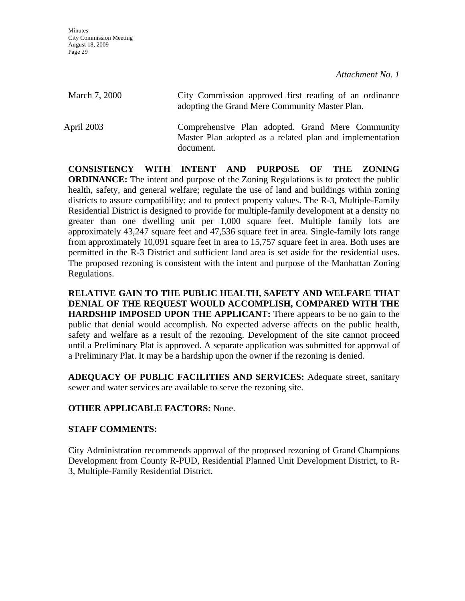| March 7, 2000 | City Commission approved first reading of an ordinance<br>adopting the Grand Mere Community Master Plan.                  |
|---------------|---------------------------------------------------------------------------------------------------------------------------|
| April 2003    | Comprehensive Plan adopted. Grand Mere Community<br>Master Plan adopted as a related plan and implementation<br>document. |

**CONSISTENCY WITH INTENT AND PURPOSE OF THE ZONING ORDINANCE:** The intent and purpose of the Zoning Regulations is to protect the public health, safety, and general welfare; regulate the use of land and buildings within zoning districts to assure compatibility; and to protect property values. The R-3, Multiple-Family Residential District is designed to provide for multiple-family development at a density no greater than one dwelling unit per 1,000 square feet. Multiple family lots are approximately 43,247 square feet and 47,536 square feet in area. Single-family lots range from approximately 10,091 square feet in area to 15,757 square feet in area. Both uses are permitted in the R-3 District and sufficient land area is set aside for the residential uses. The proposed rezoning is consistent with the intent and purpose of the Manhattan Zoning Regulations.

**RELATIVE GAIN TO THE PUBLIC HEALTH, SAFETY AND WELFARE THAT DENIAL OF THE REQUEST WOULD ACCOMPLISH, COMPARED WITH THE HARDSHIP IMPOSED UPON THE APPLICANT:** There appears to be no gain to the public that denial would accomplish. No expected adverse affects on the public health, safety and welfare as a result of the rezoning. Development of the site cannot proceed until a Preliminary Plat is approved. A separate application was submitted for approval of a Preliminary Plat. It may be a hardship upon the owner if the rezoning is denied.

**ADEQUACY OF PUBLIC FACILITIES AND SERVICES:** Adequate street, sanitary sewer and water services are available to serve the rezoning site.

### **OTHER APPLICABLE FACTORS:** None.

### **STAFF COMMENTS:**

City Administration recommends approval of the proposed rezoning of Grand Champions Development from County R-PUD, Residential Planned Unit Development District, to R-3, Multiple-Family Residential District.